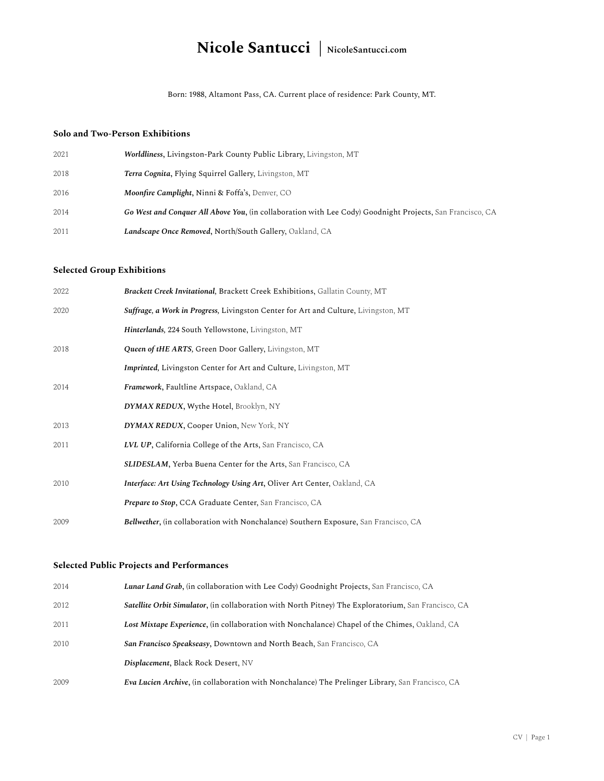# **Nicole Santucci | NicoleSantucci.com**

Born: 1988, Altamont Pass, CA. Current place of residence: Park County, MT.

#### **Solo and Two-Person Exhibitions**

| 2021 | <b>Worldliness, Livingston-Park County Public Library, Livingston, MT</b>                                 |
|------|-----------------------------------------------------------------------------------------------------------|
| 2018 | Terra Cognita, Flying Squirrel Gallery, Livingston, MT                                                    |
| 2016 | Moonfire Camplight, Ninni & Foffa's, Denver, CO                                                           |
| 2014 | Go West and Conquer All Above You, (in collaboration with Lee Cody) Goodnight Projects, San Francisco, CA |
| 2011 | <b>Landscape Once Removed, North/South Gallery, Oakland, CA</b>                                           |

### **Selected Group Exhibitions**

| 2022 | <b>Brackett Creek Invitational, Brackett Creek Exhibitions, Gallatin County, MT</b>         |
|------|---------------------------------------------------------------------------------------------|
| 2020 | Suffrage, a Work in Progress, Livingston Center for Art and Culture, Livingston, MT         |
|      | Hinterlands, 224 South Yellowstone, Livingston, MT                                          |
| 2018 | Queen of tHE ARTS, Green Door Gallery, Livingston, MT                                       |
|      | <b>Imprinted, Livingston Center for Art and Culture, Livingston, MT</b>                     |
| 2014 | Framework, Faultline Artspace, Oakland, CA                                                  |
|      | DYMAX REDUX, Wythe Hotel, Brooklyn, NY                                                      |
| 2013 | DYMAX REDUX, Cooper Union, New York, NY                                                     |
| 2011 | <b>LVL UP, California College of the Arts, San Francisco, CA</b>                            |
|      | <b>SLIDESLAM, Yerba Buena Center for the Arts, San Francisco, CA</b>                        |
| 2010 | Interface: Art Using Technology Using Art, Oliver Art Center, Oakland, CA                   |
|      | Prepare to Stop, CCA Graduate Center, San Francisco, CA                                     |
| 2009 | <b>Bellwether, (in collaboration with Nonchalance) Southern Exposure, San Francisco, CA</b> |

### **Selected Public Projects and Performances**

| 2014 | <b>Lunar Land Grab, (in collaboration with Lee Cody) Goodnight Projects, San Francisco, CA</b>              |
|------|-------------------------------------------------------------------------------------------------------------|
| 2012 | <b>Satellite Orbit Simulator, (in collaboration with North Pitney) The Exploratorium, San Francisco, CA</b> |
| 2011 | Lost Mixtape Experience, (in collaboration with Nonchalance) Chapel of the Chimes, Oakland, CA              |
| 2010 | <b>San Francisco Speakseasy, Downtown and North Beach, San Francisco, CA</b>                                |
|      | Displacement, Black Rock Desert, NV                                                                         |
| 2009 | <b>Eva Lucien Archive, (in collaboration with Nonchalance) The Prelinger Library, San Francisco, CA</b>     |